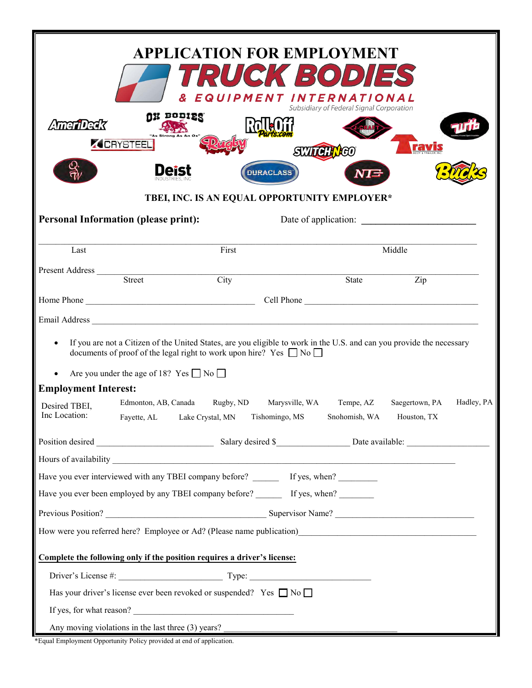| <b>APPLICATION FOR EMPLOYMENT</b>                                                                                                                                                                      |                                              |                                  |                                          |                               |            |
|--------------------------------------------------------------------------------------------------------------------------------------------------------------------------------------------------------|----------------------------------------------|----------------------------------|------------------------------------------|-------------------------------|------------|
|                                                                                                                                                                                                        | TRUCK BODIES                                 |                                  |                                          |                               |            |
|                                                                                                                                                                                                        | EQUIPMENT INTERNATIONAL                      |                                  | Subsidiary of Federal Signal Corporation |                               |            |
| UR BontEG.<br>merlierk                                                                                                                                                                                 |                                              |                                  |                                          |                               |            |
| 'As Strong As An Ox"<br><b>ZCRYSTEEL</b>                                                                                                                                                               |                                              |                                  |                                          | ravis                         |            |
|                                                                                                                                                                                                        |                                              | <i>SYJHCH.</i>                   |                                          |                               |            |
|                                                                                                                                                                                                        |                                              | <b>JURACLASS</b>                 |                                          |                               |            |
|                                                                                                                                                                                                        | TBEI, INC. IS AN EQUAL OPPORTUNITY EMPLOYER* |                                  |                                          |                               |            |
| <b>Personal Information (please print):</b>                                                                                                                                                            |                                              |                                  |                                          | Date of application:          |            |
| Last                                                                                                                                                                                                   | First                                        |                                  |                                          | Middle                        |            |
|                                                                                                                                                                                                        |                                              |                                  |                                          |                               |            |
| Street                                                                                                                                                                                                 | City                                         |                                  | State                                    | Zip                           |            |
|                                                                                                                                                                                                        |                                              |                                  |                                          |                               |            |
|                                                                                                                                                                                                        |                                              |                                  |                                          |                               |            |
| If you are not a Citizen of the United States, are you eligible to work in the U.S. and can you provide the necessary<br>documents of proof of the legal right to work upon hire? Yes $\Box$ No $\Box$ |                                              |                                  |                                          |                               |            |
| Are you under the age of 18? Yes $\Box$ No $\Box$                                                                                                                                                      |                                              |                                  |                                          |                               |            |
| <b>Employment Interest:</b>                                                                                                                                                                            |                                              |                                  |                                          |                               |            |
| Edmonton, AB, Canada<br>Desired TBEI,<br>Inc Location:<br>Lake Crystal, MN<br>Fayette, AL                                                                                                              | Rugby, ND                                    | Marysville, WA<br>Tishomingo, MS | Tempe, AZ<br>Snohomish, WA               | Saegertown, PA<br>Houston, TX | Hadley, PA |
|                                                                                                                                                                                                        |                                              |                                  |                                          |                               |            |
|                                                                                                                                                                                                        |                                              |                                  |                                          |                               |            |
| Have you ever interviewed with any TBEI company before? If yes, when?                                                                                                                                  |                                              |                                  |                                          |                               |            |
| Have you ever been employed by any TBEI company before? If yes, when?                                                                                                                                  |                                              |                                  |                                          |                               |            |
|                                                                                                                                                                                                        |                                              |                                  |                                          |                               |            |
|                                                                                                                                                                                                        |                                              |                                  |                                          |                               |            |
| Complete the following only if the position requires a driver's license:                                                                                                                               |                                              |                                  |                                          |                               |            |
|                                                                                                                                                                                                        |                                              |                                  |                                          |                               |            |
| Has your driver's license ever been revoked or suspended? Yes $\Box$ No $\Box$                                                                                                                         |                                              |                                  |                                          |                               |            |
| If yes, for what reason?                                                                                                                                                                               |                                              |                                  |                                          |                               |            |
| Any moving violations in the last three (3) years?                                                                                                                                                     |                                              |                                  |                                          |                               |            |

\*Equal Employment Opportunity Policy provided at end of application.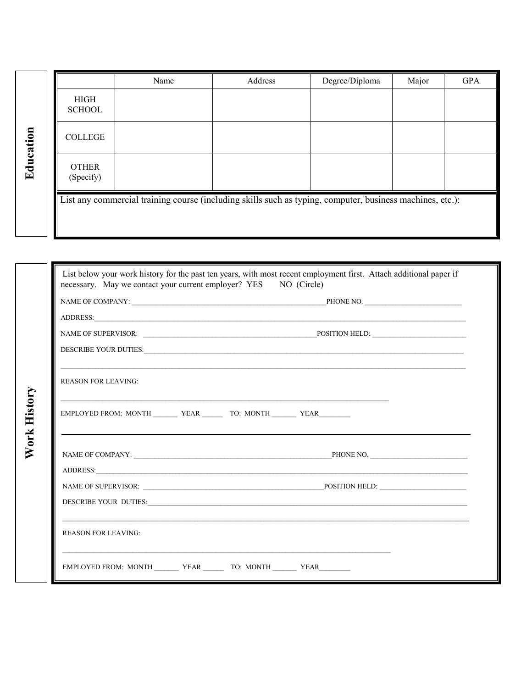|           |                              | Name                                                                                                      | Address | Degree/Diploma | Major | <b>GPA</b> |  |
|-----------|------------------------------|-----------------------------------------------------------------------------------------------------------|---------|----------------|-------|------------|--|
| Education | <b>HIGH</b><br><b>SCHOOL</b> |                                                                                                           |         |                |       |            |  |
|           | <b>COLLEGE</b>               |                                                                                                           |         |                |       |            |  |
|           | <b>OTHER</b><br>(Specify)    |                                                                                                           |         |                |       |            |  |
|           |                              | List any commercial training course (including skills such as typing, computer, business machines, etc.): |         |                |       |            |  |

| Education           | <b>COLLEGE</b>                                                                                                                                                                                                                |  |  |  |  |  |
|---------------------|-------------------------------------------------------------------------------------------------------------------------------------------------------------------------------------------------------------------------------|--|--|--|--|--|
|                     | <b>OTHER</b><br>(Specify)                                                                                                                                                                                                     |  |  |  |  |  |
|                     | List any commercial training course (including skills such as typing, computer, business machines, etc.):                                                                                                                     |  |  |  |  |  |
|                     |                                                                                                                                                                                                                               |  |  |  |  |  |
|                     | List below your work history for the past ten years, with most recent employment first. Attach additional paper if<br>necessary. May we contact your current employer? YES<br>NO (Circle)                                     |  |  |  |  |  |
|                     |                                                                                                                                                                                                                               |  |  |  |  |  |
|                     | ADDRESS: And All Contract the Contract of the Contract of the Contract of the Contract of the Contract of the Contract of the Contract of the Contract of the Contract of the Contract of the Contract of the Contract of the |  |  |  |  |  |
|                     |                                                                                                                                                                                                                               |  |  |  |  |  |
|                     |                                                                                                                                                                                                                               |  |  |  |  |  |
|                     | <b>REASON FOR LEAVING:</b>                                                                                                                                                                                                    |  |  |  |  |  |
| <b>Nork History</b> | EMPLOYED FROM: MONTH _________ YEAR ________ TO: MONTH _______ YEAR _________                                                                                                                                                 |  |  |  |  |  |
|                     |                                                                                                                                                                                                                               |  |  |  |  |  |
|                     | ADDRESS: AND ALL AND ALL AND ALL AND ALL AND ALL AND ALL AND ALL AND ALL AND ALL AND ALL AND ALL AND ALL AND A                                                                                                                |  |  |  |  |  |
|                     |                                                                                                                                                                                                                               |  |  |  |  |  |
|                     |                                                                                                                                                                                                                               |  |  |  |  |  |
|                     | <b>REASON FOR LEAVING:</b>                                                                                                                                                                                                    |  |  |  |  |  |
|                     | EMPLOYED FROM: MONTH ________ YEAR ________ TO: MONTH _______ YEAR _________                                                                                                                                                  |  |  |  |  |  |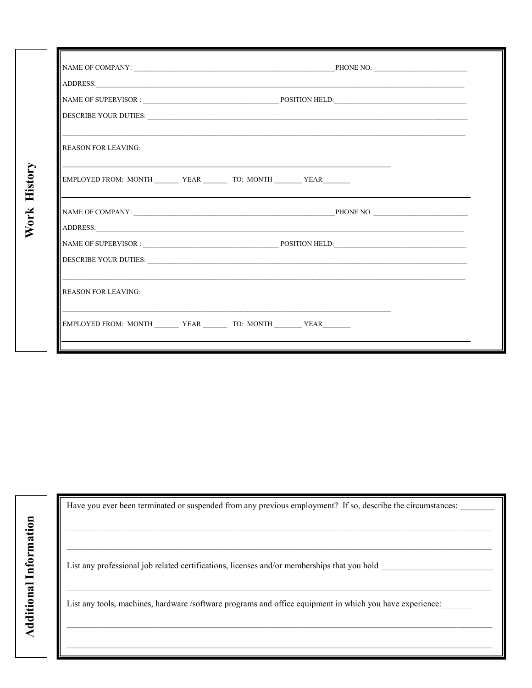|                            | ADDRESS: North Contract Contract Contract Contract Contract Contract Contract Contract Contract Contract Contract Contract Contract Contract Contract Contract Contract Contract Contract Contract Contract Contract Contract  |
|----------------------------|--------------------------------------------------------------------------------------------------------------------------------------------------------------------------------------------------------------------------------|
|                            |                                                                                                                                                                                                                                |
|                            |                                                                                                                                                                                                                                |
| <b>REASON FOR LEAVING:</b> |                                                                                                                                                                                                                                |
|                            | the control of the control of the control of the control of the control of<br>EMPLOYED FROM: MONTH YEAR TO: MONTH YEAR                                                                                                         |
|                            |                                                                                                                                                                                                                                |
|                            | ADDRESS: ANDRESS:                                                                                                                                                                                                              |
|                            |                                                                                                                                                                                                                                |
|                            | DESCRIBE YOUR DUTIES: Universe of the contract of the contract of the contract of the contract of the contract of the contract of the contract of the contract of the contract of the contract of the contract of the contract |
| <b>REASON FOR LEAVING:</b> |                                                                                                                                                                                                                                |
|                            |                                                                                                                                                                                                                                |

| n o monda  |
|------------|
|            |
|            |
|            |
|            |
|            |
|            |
|            |
|            |
|            |
|            |
|            |
|            |
|            |
|            |
|            |
| ٦          |
| くりくしょ<br>i |
|            |
|            |
|            |
|            |

Have you ever been terminated or suspended from any previous employment? If so, describe the circumstances:

List any tools, machines, hardware /software programs and office equipment in which you have experience: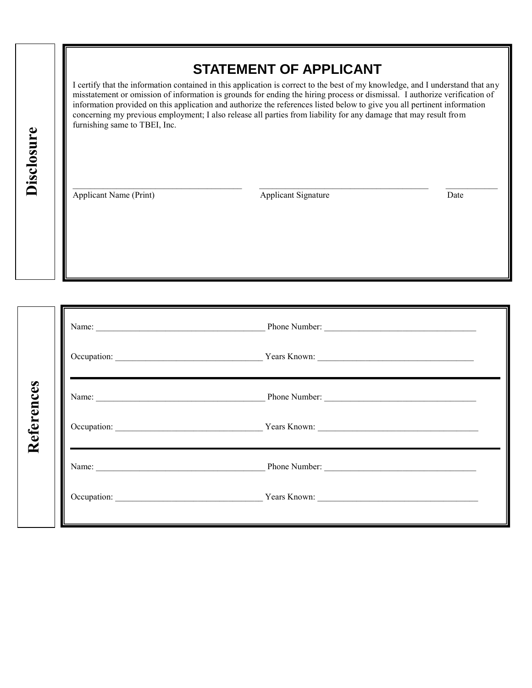| Disclosure | <b>STATEMENT OF APPLICANT</b><br>I certify that the information contained in this application is correct to the best of my knowledge, and I understand that any<br>misstatement or omission of information is grounds for ending the hiring process or dismissal. I authorize verification of<br>information provided on this application and authorize the references listed below to give you all pertinent information<br>concerning my previous employment; I also release all parties from liability for any damage that may result from<br>furnishing same to TBEI, Inc. |                                                                                                                                                                                                                                     |      |  |  |
|------------|--------------------------------------------------------------------------------------------------------------------------------------------------------------------------------------------------------------------------------------------------------------------------------------------------------------------------------------------------------------------------------------------------------------------------------------------------------------------------------------------------------------------------------------------------------------------------------|-------------------------------------------------------------------------------------------------------------------------------------------------------------------------------------------------------------------------------------|------|--|--|
|            | Applicant Name (Print)                                                                                                                                                                                                                                                                                                                                                                                                                                                                                                                                                         | Applicant Signature                                                                                                                                                                                                                 | Date |  |  |
|            |                                                                                                                                                                                                                                                                                                                                                                                                                                                                                                                                                                                |                                                                                                                                                                                                                                     |      |  |  |
|            |                                                                                                                                                                                                                                                                                                                                                                                                                                                                                                                                                                                | Name: <u>Name:</u> Phone Number: 2008 Phone Number: 2008 Phone Number: 2008 Phone Number: 2008 Phone Number: 2008 Phone Number: 2008 Phone Number: 2008 Phone Number: 2008 Phone Number: 2008 Phone Number: 2008 Phone Number: 2008 |      |  |  |
|            |                                                                                                                                                                                                                                                                                                                                                                                                                                                                                                                                                                                | Occupation: Vears Known: Vears Known:                                                                                                                                                                                               |      |  |  |
| ferences   |                                                                                                                                                                                                                                                                                                                                                                                                                                                                                                                                                                                |                                                                                                                                                                                                                                     |      |  |  |
|            |                                                                                                                                                                                                                                                                                                                                                                                                                                                                                                                                                                                | Occupation: Vears Known: Years Known:                                                                                                                                                                                               |      |  |  |
|            |                                                                                                                                                                                                                                                                                                                                                                                                                                                                                                                                                                                |                                                                                                                                                                                                                                     |      |  |  |
|            |                                                                                                                                                                                                                                                                                                                                                                                                                                                                                                                                                                                |                                                                                                                                                                                                                                     |      |  |  |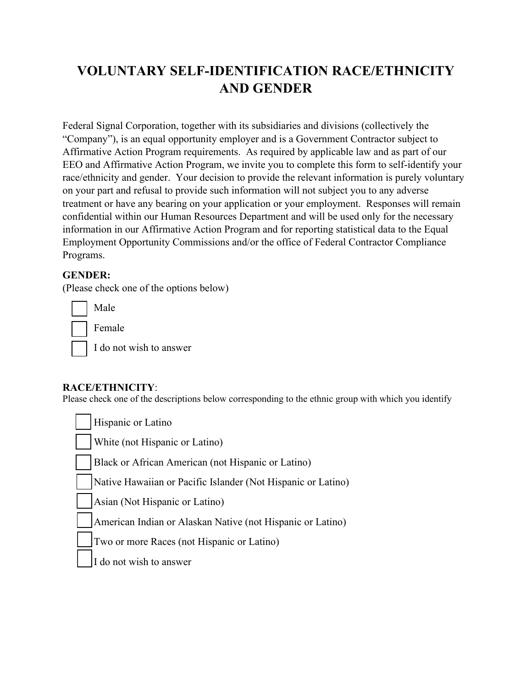# **VOLUNTARY SELF-IDENTIFICATION RACE/ETHNICITY AND GENDER**

Federal Signal Corporation, together with its subsidiaries and divisions (collectively the "Company"), is an equal opportunity employer and is a Government Contractor subject to Affirmative Action Program requirements. As required by applicable law and as part of our EEO and Affirmative Action Program, we invite you to complete this form to self-identify your race/ethnicity and gender. Your decision to provide the relevant information is purely voluntary on your part and refusal to provide such information will not subject you to any adverse treatment or have any bearing on your application or your employment. Responses will remain confidential within our Human Resources Department and will be used only for the necessary information in our Affirmative Action Program and for reporting statistical data to the Equal Employment Opportunity Commissions and/or the office of Federal Contractor Compliance Programs.

## **GENDER:**

(Please check one of the options below)

| Male |
|------|
| Fema |

`emale

I do not wish to answer

## **RACE/ETHNICITY**:

Please check one of the descriptions below corresponding to the ethnic group with which you identify

| Hispanic or Latino                                           |
|--------------------------------------------------------------|
| White (not Hispanic or Latino)                               |
| Black or African American (not Hispanic or Latino)           |
| Native Hawaiian or Pacific Islander (Not Hispanic or Latino) |
| Asian (Not Hispanic or Latino)                               |
| American Indian or Alaskan Native (not Hispanic or Latino)   |
| Two or more Races (not Hispanic or Latino)                   |
| I do not wish to answer                                      |
|                                                              |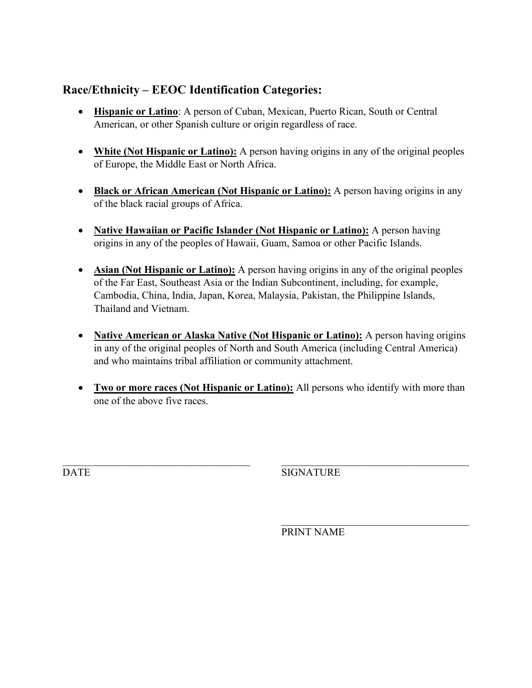## **Race/Ethnicity – EEOC Identification Categories:**

- **Hispanic or Latino**: A person of Cuban, Mexican, Puerto Rican, South or Central American, or other Spanish culture or origin regardless of race.
- **White (Not Hispanic or Latino):** A person having origins in any of the original peoples of Europe, the Middle East or North Africa.
- **Black or African American (Not Hispanic or Latino):** A person having origins in any of the black racial groups of Africa.
- **Native Hawaiian or Pacific Islander (Not Hispanic or Latino):** A person having origins in any of the peoples of Hawaii, Guam, Samoa or other Pacific Islands.
- **Asian (Not Hispanic or Latino):** A person having origins in any of the original peoples of the Far East, Southeast Asia or the Indian Subcontinent, including, for example, Cambodia, China, India, Japan, Korea, Malaysia, Pakistan, the Philippine Islands, Thailand and Vietnam.
- **Native American or Alaska Native (Not Hispanic or Latino):** A person having origins in any of the original peoples of North and South America (including Central America) and who maintains tribal affiliation or community attachment.
- **Two or more races (Not Hispanic or Latino):** All persons who identify with more than one of the above five races.

 $\_$  , and the set of the set of the set of the set of the set of the set of the set of the set of the set of the set of the set of the set of the set of the set of the set of the set of the set of the set of the set of th DATE SIGNATURE

> $\overline{\mathcal{L}}$  , and the set of the set of the set of the set of the set of the set of the set of the set of the set of the set of the set of the set of the set of the set of the set of the set of the set of the set of the s PRINT NAME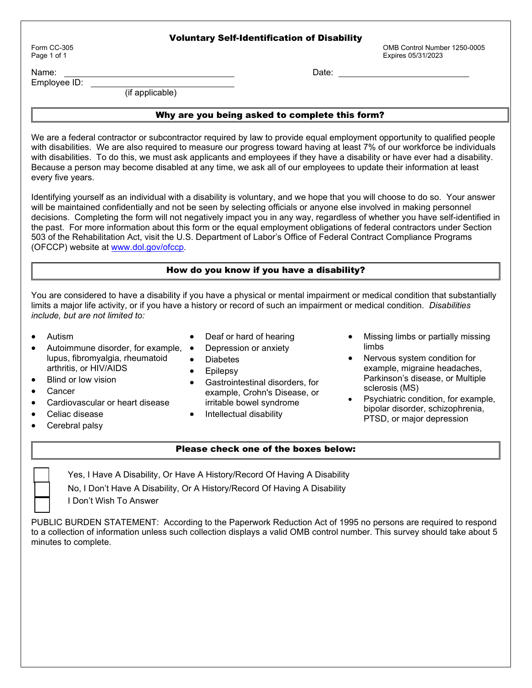#### Voluntary Self-Identification of Disability

Form CC-305 **CONTROLLER CONSTRUCTED EXECUTES** OMB Control Number 1250-0005 **CONTROLLER CONSTRUCTED**<br>
Fage 1 of 1 Expires 05/31/2023

Name: Date:

Employee ID:

(if applicable)

#### Why are you being asked to complete this form?

We are a federal contractor or subcontractor required by law to provide equal employment opportunity to qualified people with disabilities. We are also required to measure our progress toward having at least 7% of our workforce be individuals with disabilities. To do this, we must ask applicants and employees if they have a disability or have ever had a disability. Because a person may become disabled at any time, we ask all of our employees to update their information at least every five years.

Identifying yourself as an individual with a disability is voluntary, and we hope that you will choose to do so. Your answer will be maintained confidentially and not be seen by selecting officials or anyone else involved in making personnel decisions. Completing the form will not negatively impact you in any way, regardless of whether you have self-identified in the past. For more information about this form or the equal employment obligations of federal contractors under Section 503 of the Rehabilitation Act, visit the U.S. Department of Labor's Office of Federal Contract Compliance Programs (OFCCP) website at [www.dol.gov/ofccp.](https://www.dol.gov/agencies/ofccp)

#### How do you know if you have a disability?

You are considered to have a disability if you have a physical or mental impairment or medical condition that substantially limits a major life activity, or if you have a history or record of such an impairment or medical condition. *Disabilities include, but are not limited to:*

- Autism
- Autoimmune disorder, for example, lupus, fibromyalgia, rheumatoid arthritis, or HIV/AIDS
- Blind or low vision
- Cancer
- Cardiovascular or heart disease
- Celiac disease
- Cerebral palsy
- Deaf or hard of hearing
- Depression or anxiety
- Diabetes
- Epilepsy
- Gastrointestinal disorders, for example, Crohn's Disease, or irritable bowel syndrome
- Intellectual disability
- Please check one of the boxes below:

Yes, I Have A Disability, Or Have A History/Record Of Having A Disability

No, I Don't Have A Disability, Or A History/Record Of Having A Disability

☐ I Don't Wish To Answer

PUBLIC BURDEN STATEMENT: According to the Paperwork Reduction Act of 1995 no persons are required to respond to a collection of information unless such collection displays a valid OMB control number. This survey should take about 5 minutes to complete.

- Missing limbs or partially missing limbs
- Nervous system condition for example, migraine headaches, Parkinson's disease, or Multiple sclerosis (MS)
- Psychiatric condition, for example, bipolar disorder, schizophrenia, PTSD, or major depression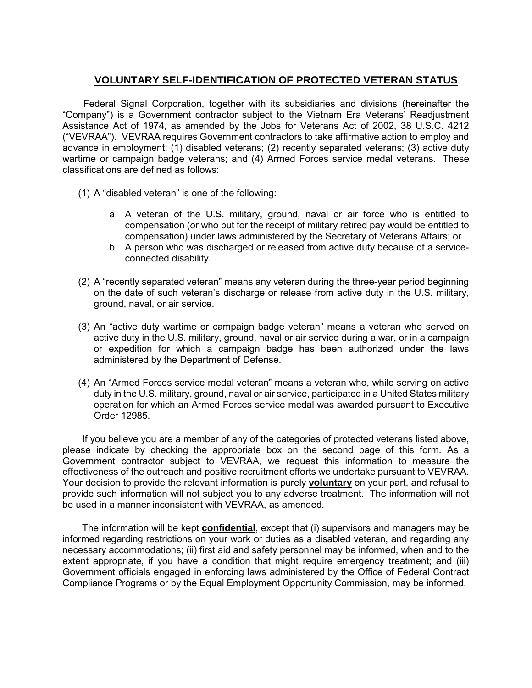## **VOLUNTARY SELF-IDENTIFICATION OF PROTECTED VETERAN STATUS**

Federal Signal Corporation, together with its subsidiaries and divisions (hereinafter the "Company") is a Government contractor subject to the Vietnam Era Veterans' Readjustment Assistance Act of 1974, as amended by the Jobs for Veterans Act of 2002, 38 U.S.C. 4212 ("VEVRAA"). VEVRAA requires Government contractors to take affirmative action to employ and advance in employment: (1) disabled veterans; (2) recently separated veterans; (3) active duty wartime or campaign badge veterans; and (4) Armed Forces service medal veterans. These classifications are defined as follows:

- (1) A "disabled veteran" is one of the following:
	- a. A veteran of the U.S. military, ground, naval or air force who is entitled to compensation (or who but for the receipt of military retired pay would be entitled to compensation) under laws administered by the Secretary of Veterans Affairs; or
	- b. A person who was discharged or released from active duty because of a serviceconnected disability.
- (2) A "recently separated veteran" means any veteran during the three-year period beginning on the date of such veteran's discharge or release from active duty in the U.S. military, ground, naval, or air service.
- (3) An "active duty wartime or campaign badge veteran" means a veteran who served on active duty in the U.S. military, ground, naval or air service during a war, or in a campaign or expedition for which a campaign badge has been authorized under the laws administered by the Department of Defense.
- (4) An "Armed Forces service medal veteran" means a veteran who, while serving on active duty in the U.S. military, ground, naval or air service, participated in a United States military operation for which an Armed Forces service medal was awarded pursuant to Executive Order 12985.

If you believe you are a member of any of the categories of protected veterans listed above, please indicate by checking the appropriate box on the second page of this form. As a Government contractor subject to VEVRAA, we request this information to measure the effectiveness of the outreach and positive recruitment efforts we undertake pursuant to VEVRAA. Your decision to provide the relevant information is purely **voluntary** on your part, and refusal to provide such information will not subject you to any adverse treatment. The information will not be used in a manner inconsistent with VEVRAA, as amended.

The information will be kept **confidential**, except that (i) supervisors and managers may be informed regarding restrictions on your work or duties as a disabled veteran, and regarding any necessary accommodations; (ii) first aid and safety personnel may be informed, when and to the extent appropriate, if you have a condition that might require emergency treatment; and (iii) Government officials engaged in enforcing laws administered by the Office of Federal Contract Compliance Programs or by the Equal Employment Opportunity Commission, may be informed.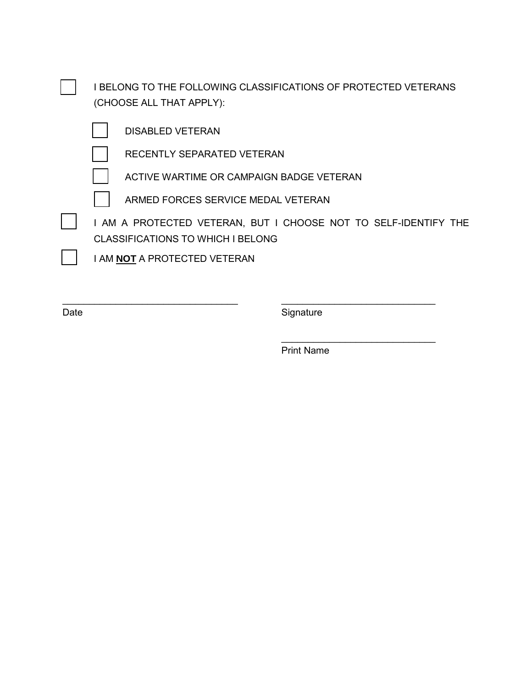| I BELONG TO THE FOLLOWING CLASSIFICATIONS OF PROTECTED VETERANS |
|-----------------------------------------------------------------|
| (CHOOSE ALL THAT APPLY):                                        |

RECENTLY SEPARATED VETERAN

ACTIVE WARTIME OR CAMPAIGN BADGE VETERAN

\_\_\_\_\_\_\_\_\_\_\_\_\_\_\_\_\_\_\_\_\_\_\_\_\_\_\_\_\_\_\_\_\_ \_\_\_\_\_\_\_\_\_\_\_\_\_\_\_\_\_\_\_\_\_\_\_\_\_\_\_\_\_

- ARMED FORCES SERVICE MEDAL VETERAN
- I AM A PROTECTED VETERAN, BUT I CHOOSE NOT TO SELF-IDENTIFY THE CLASSIFICATIONS TO WHICH I BELONG
- □ I AM **NOT** A PROTECTED VETERAN

Date Signature Signature

Print Name

\_\_\_\_\_\_\_\_\_\_\_\_\_\_\_\_\_\_\_\_\_\_\_\_\_\_\_\_\_